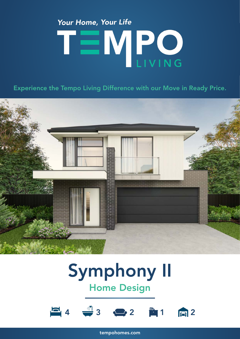# Your Home, Your Life TEMPO

Experience the Tempo Living Difference with our Move in Ready Price.



### Symphony II Home Design



tempohomes.com